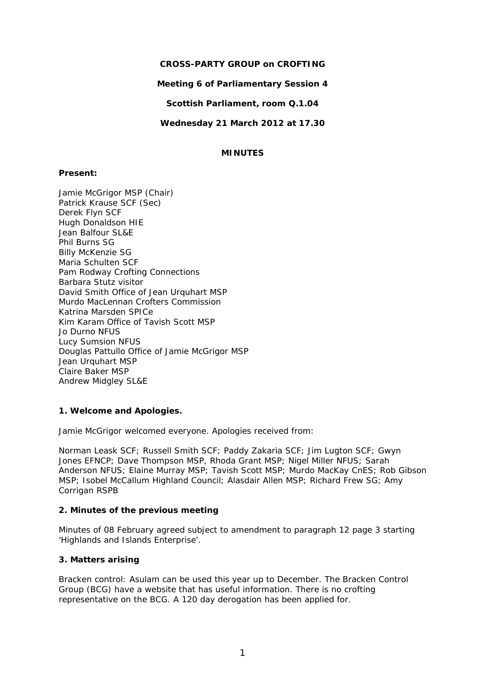## **CROSS-PARTY GROUP on CROFTING**

## **Meeting 6 of Parliamentary Session 4**

## **Scottish Parliament, room Q.1.04**

## **Wednesday 21 March 2012 at 17.30**

## **MINUTES**

#### **Present:**

Jamie McGrigor MSP (Chair) Patrick Krause SCF (Sec) Derek Flyn SCF Hugh Donaldson HIE Jean Balfour SL&E Phil Burns SG Billy McKenzie SG Maria Schulten SCF Pam Rodway Crofting Connections Barbara Stutz visitor David Smith Office of Jean Urquhart MSP Murdo MacLennan Crofters Commission Katrina Marsden SPICe Kim Karam Office of Tavish Scott MSP Jo Durno NFUS Lucy Sumsion NFUS Douglas Pattullo Office of Jamie McGrigor MSP Jean Urquhart MSP Claire Baker MSP Andrew Midgley SL&E

# **1. Welcome and Apologies.**

Jamie McGrigor welcomed everyone. Apologies received from:

Norman Leask SCF; Russell Smith SCF; Paddy Zakaria SCF; Jim Lugton SCF; Gwyn Jones EFNCP; Dave Thompson MSP, Rhoda Grant MSP; Nigel Miller NFUS; Sarah Anderson NFUS; Elaine Murray MSP; Tavish Scott MSP; Murdo MacKay CnES; Rob Gibson MSP; Isobel McCallum Highland Council; Alasdair Allen MSP; Richard Frew SG; Amy Corrigan RSPB

#### **2. Minutes of the previous meeting**

Minutes of 08 February agreed subject to amendment to paragraph 12 page 3 starting 'Highlands and Islands Enterprise'.

#### **3. Matters arising**

Bracken control: Asulam can be used this year up to December. The Bracken Control Group (BCG) have a website that has useful information. There is no crofting representative on the BCG. A 120 day derogation has been applied for.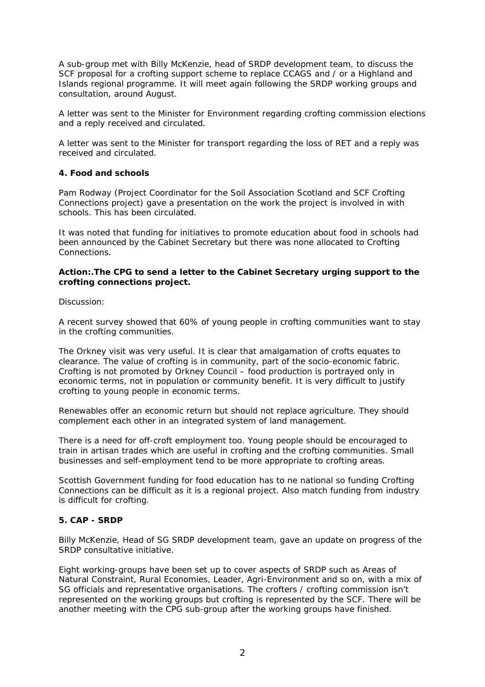A sub-group met with Billy McKenzie, head of SRDP development team, to discuss the SCF proposal for a crofting support scheme to replace CCAGS and / or a Highland and Islands regional programme. It will meet again following the SRDP working groups and consultation, around August.

A letter was sent to the Minister for Environment regarding crofting commission elections and a reply received and circulated.

A letter was sent to the Minister for transport regarding the loss of RET and a reply was received and circulated.

## **4. Food and schools**

Pam Rodway (Project Coordinator for the Soil Association Scotland and SCF Crofting Connections project) gave a presentation on the work the project is involved in with schools. This has been circulated.

It was noted that funding for initiatives to promote education about food in schools had been announced by the Cabinet Secretary but there was none allocated to Crofting Connections.

#### *Action:.The CPG to send a letter to the Cabinet Secretary urging support to the crofting connections project.*

#### *Discussion:*

A recent survey showed that 60% of young people in crofting communities want to stay in the crofting communities.

The Orkney visit was very useful. It is clear that amalgamation of crofts equates to clearance. The value of crofting is in community, part of the socio-economic fabric. Crofting is not promoted by Orkney Council – food production is portrayed only in economic terms, not in population or community benefit. It is very difficult to justify crofting to young people in economic terms.

Renewables offer an economic return but should not replace agriculture. They should complement each other in an integrated system of land management.

There is a need for off-croft employment too. Young people should be encouraged to train in artisan trades which are useful in crofting and the crofting communities. Small businesses and self-employment tend to be more appropriate to crofting areas.

Scottish Government funding for food education has to ne national so funding Crofting Connections can be difficult as it is a regional project. Also match funding from industry is difficult for crofting.

# **5. CAP - SRDP**

Billy McKenzie, Head of SG SRDP development team, gave an update on progress of the SRDP consultative initiative.

Eight working-groups have been set up to cover aspects of SRDP such as Areas of Natural Constraint, Rural Economies, Leader, Agri-Environment and so on, with a mix of SG officials and representative organisations. The crofters / crofting commission isn't represented on the working groups but crofting is represented by the SCF. There will be another meeting with the CPG sub-group after the working groups have finished.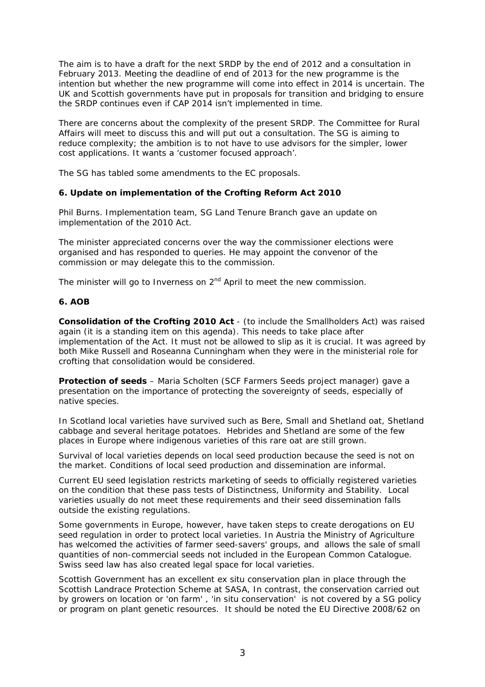The aim is to have a draft for the next SRDP by the end of 2012 and a consultation in February 2013. Meeting the deadline of end of 2013 for the new programme is the intention but whether the new programme will come into effect in 2014 is uncertain. The UK and Scottish governments have put in proposals for transition and bridging to ensure the SRDP continues even if CAP 2014 isn't implemented in time.

There are concerns about the complexity of the present SRDP. The Committee for Rural Affairs will meet to discuss this and will put out a consultation. The SG is aiming to reduce complexity; the ambition is to not have to use advisors for the simpler, lower cost applications. It wants a 'customer focused approach'.

The SG has tabled some amendments to the EC proposals.

#### **6. Update on implementation of the Crofting Reform Act 2010**

Phil Burns. Implementation team, SG Land Tenure Branch gave an update on implementation of the 2010 Act.

The minister appreciated concerns over the way the commissioner elections were organised and has responded to queries. He may appoint the convenor of the commission or may delegate this to the commission.

The minister will go to Inverness on  $2^{nd}$  April to meet the new commission.

# **6. AOB**

**Consolidation of the Crofting 2010 Act** - (to include the Smallholders Act) was raised again (it is a standing item on this agenda). This needs to take place after implementation of the Act. It must not be allowed to slip as it is crucial. It was agreed by both Mike Russell and Roseanna Cunningham when they were in the ministerial role for crofting that consolidation would be considered.

**Protection of seeds** – Maria Scholten (SCF Farmers Seeds project manager) gave a presentation on the importance of protecting the sovereignty of seeds, especially of native species.

In Scotland local varieties have survived such as Bere, Small and Shetland oat, Shetland cabbage and several heritage potatoes. Hebrides and Shetland are some of the few places in Europe where indigenous varieties of this rare oat are still grown.

Survival of local varieties depends on local seed production because the seed is not on the market. Conditions of local seed production and dissemination are informal.

Current EU seed legislation restricts marketing of seeds to officially registered varieties on the condition that these pass tests of Distinctness, Uniformity and Stability. Local varieties usually do not meet these requirements and their seed dissemination falls outside the existing regulations.

Some governments in Europe, however, have taken steps to create derogations on EU seed regulation in order to protect local varieties. In Austria the Ministry of Agriculture has welcomed the activities of farmer seed-savers' groups, and allows the sale of small quantities of non-commercial seeds not included in the European Common Catalogue. Swiss seed law has also created legal space for local varieties.

Scottish Government has an excellent ex situ conservation plan in place through the Scottish Landrace Protection Scheme at SASA, In contrast, the conservation carried out by growers on location or 'on farm' , 'in situ conservation' is not covered by a SG policy or program on plant genetic resources. It should be noted the EU Directive 2008/62 on